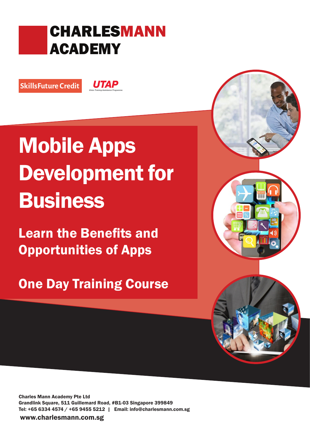## CHARLESMANN ACADEMY

SkillsFuture Credit

**UTAP** 

# Mobile Apps Development for **Business**

Learn the Benefits and Opportunities of Apps

One Day Training Course

Charles Mann Academy Pte Ltd Grandlink Square, 511 Guillemard Road, #B1-03 Singapore 399849 Tel: +65 6334 4574 / +65 9455 5212 | Email: info@charlesmann.com.sg

www.charlesmann.com.sg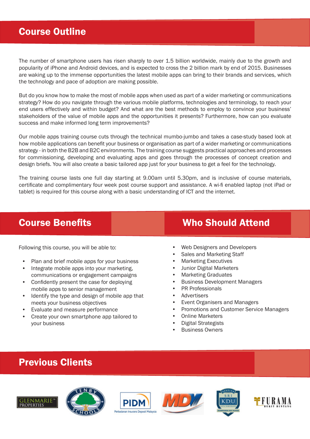## Course Outline

The number of smartphone users has risen sharply to over 1.5 billion worldwide, mainly due to the growth and popularity of iPhone and Android devices, and is expected to cross the 2 billion mark by end of 2015. Businesses are waking up to the immense opportunities the latest mobile apps can bring to their brands and services, which the technology and pace of adoption are making possible.

But do you know how to make the most of mobile apps when used as part of a wider marketing or communications strategy? How do you navigate through the various mobile platforms, technologies and terminology, to reach your end users effectively and within budget? And what are the best methods to employ to convince your business' stakeholders of the value of mobile apps and the opportunities it presents? Furthermore, how can you evaluate success and make informed long term improvements?

Our mobile apps training course cuts through the technical mumbo-jumbo and takes a case-study based look at how mobile applications can benefit your business or organisation as part of a wider marketing or communications strategy - in both the B2B and B2C environments. The training course suggests practical approaches and processes for commissioning, developing and evaluating apps and goes through the processes of concept creation and design briefs. You will also create a basic tailored app just for your business to get a feel for the technology.

The training course lasts one full day starting at 9.00am until 5.30pm, and is inclusive of course materials, certificate and complimentary four week post course support and assistance. A wi-fi enabled laptop (not iPad or tablet) is required for this course along with a basic understanding of ICT and the internet.

Following this course, you will be able to:

- Plan and brief mobile apps for your business
- Integrate mobile apps into your marketing, communications or engagement campaigns
- Confidently present the case for deploying mobile apps to senior management
- Identify the type and design of mobile app that meets your business objectives
- Evaluate and measure performance
- Create your own smartphone app tailored to your business

## **Course Benefits Course Benefits** Who Should Attend

- Web Designers and Developers
- Sales and Marketing Staff
- Marketing Executives
- Junior Digital Marketers
- Marketing Graduates
- Business Development Managers
- PR Professionals
- **Advertisers**
- Event Organisers and Managers
- Promotions and Customer Service Managers
- **Online Marketers**
- Digital Strategists
- Business Owners

## Previous Clients











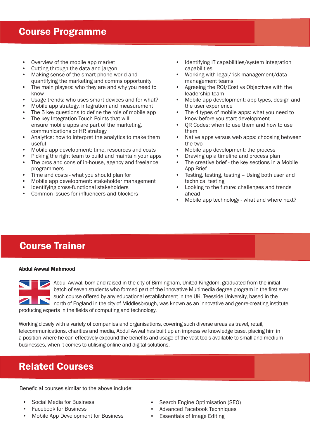- Overview of the mobile app market
- Cutting through the data and jargon
- Making sense of the smart phone world and quantifying the marketing and comms opportunity
- The main players: who they are and why you need to know
- Usage trends: who uses smart devices and for what?<br>• Mobile ann strategy integration and measurement
- Mobile app strategy, integration and measurement
- The 5 key questions to define the role of mobile app<br>• The key Integration Touch Points that will
- The key Integration Touch Points that will ensure mobile apps are part of the marketing, communications or HR strategy
- Analytics: how to interpret the analytics to make them useful
- Mobile app development: time, resources and costs
- Picking the right team to build and maintain your apps
- The pros and cons of in-house, agency and freelance programmers
- Time and costs what you should plan for
- Mobile app development: stakeholder management
- Identifying cross-functional stakeholders
- Common issues for influencers and blockers
- Identifying IT capabilities/system integration capabilities
- Working with legal/risk management/data management teams
- Agreeing the ROI/Cost vs Objectives with the leadership team
- Mobile app development: app types, design and the user experience
- The 4 types of mobile apps: what you need to know before you start development
- QR Codes: when to use them and how to use them
- Native apps versus web apps: choosing between the two
- Mobile app development: the process
- Drawing up a timeline and process plan
- The creative brief the key sections in a Mobile App Brief
- Testing, testing, testing Using both user and technical testing
- Looking to the future: challenges and trends ahead
- Mobile app technology what and where next?

## Course Trainer

### Abdul Awwal Mahmood

Abdul Awwal, born and raised in the city of Birmingham, United Kingdom, graduated from the initial batch of seven students who formed part of the innovative Multimedia degree program in the first ever such course offered by any educational establishment in the UK. Teesside University, based in the north of England in the city of Middlesbrough, was known as an innovative and genre-creating institute, producing experts in the fields of computing and technology.

Working closely with a variety of companies and organisations, covering such diverse areas as travel, retail, telecommunications, charities and media, Abdul Awwal has built up an impressive knowledge base, placing him in a position where he can effectively expound the benefits and usage of the vast tools available to small and medium businesses, when it comes to utilising online and digital solutions.

## Related Courses

Beneficial courses similar to the above include:

- Social Media for Business
- Facebook for Business
- Mobile App Development for Business
- Search Engine Optimisation (SEO)
- Advanced Facebook Techniques
- Essentials of Image Editing